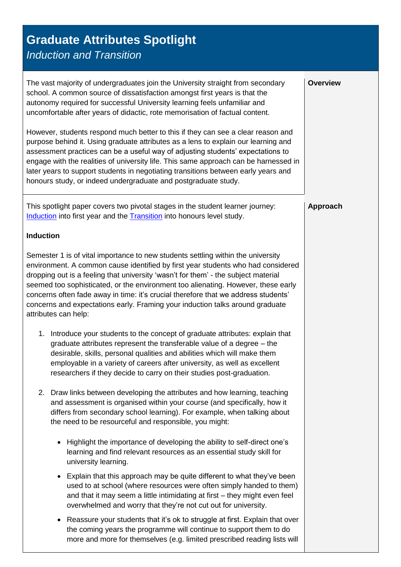## <span id="page-0-0"></span>**Graduate Attributes Spotlight** *Induction and Transition* The vast majority of undergraduates join the University straight from secondary school. A common source of dissatisfaction amongst first years is that the autonomy required for successful University learning feels unfamiliar and uncomfortable after years of didactic, rote memorisation of factual content. However, students respond much better to this if they can see a clear reason and purpose behind it. Using graduate attributes as a lens to explain our learning and assessment practices can be a useful way of adjusting students' expectations to engage with the realities of university life. This same approach can be harnessed in later years to support students in negotiating transitions between early years and honours study, or indeed undergraduate and postgraduate study. **Overview** This spotlight paper covers two pivotal stages in the student learner journey: [Induction](#page-0-0) into first year and the [Transition](#page-1-0) into honours level study. **Induction** Semester 1 is of vital importance to new students settling within the university environment. A common cause identified by first year students who had considered dropping out is a feeling that university 'wasn't for them' - the subject material seemed too sophisticated, or the environment too alienating. However, these early concerns often fade away in time: it's crucial therefore that we address students' concerns and expectations early. Framing your induction talks around graduate attributes can help: 1. Introduce your students to the concept of graduate attributes: explain that graduate attributes represent the transferable value of a degree – the desirable, skills, personal qualities and abilities which will make them employable in a variety of careers after university, as well as excellent researchers if they decide to carry on their studies post-graduation. 2. Draw links between developing the attributes and how learning, teaching and assessment is organised within your course (and specifically, how it differs from secondary school learning). For example, when talking about the need to be resourceful and responsible, you might: • Highlight the importance of developing the ability to self-direct one's learning and find relevant resources as an essential study skill for university learning. Explain that this approach may be quite different to what they've been used to at school (where resources were often simply handed to them) and that it may seem a little intimidating at first – they might even feel overwhelmed and worry that they're not cut out for university. **Approach**

 Reassure your students that it's ok to struggle at first. Explain that over the coming years the programme will continue to support them to do more and more for themselves (e.g. limited prescribed reading lists will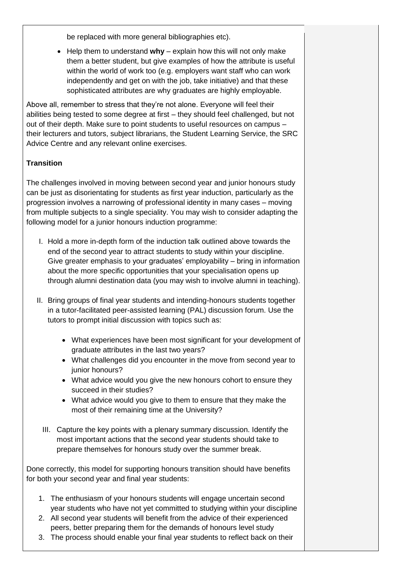be replaced with more general bibliographies etc).

 Help them to understand **why** – explain how this will not only make them a better student, but give examples of how the attribute is useful within the world of work too (e.g. employers want staff who can work independently and get on with the job, take initiative) and that these sophisticated attributes are why graduates are highly employable.

Above all, remember to stress that they're not alone. Everyone will feel their abilities being tested to some degree at first – they should feel challenged, but not out of their depth. Make sure to point students to useful resources on campus – their lecturers and tutors, subject librarians, the Student Learning Service, the SRC Advice Centre and any relevant online exercises.

## <span id="page-1-0"></span>**Transition**

The challenges involved in moving between second year and junior honours study can be just as disorientating for students as first year induction, particularly as the progression involves a narrowing of professional identity in many cases – moving from multiple subjects to a single speciality. You may wish to consider adapting the following model for a junior honours induction programme:

- I. Hold a more in-depth form of the induction talk outlined above towards the end of the second year to attract students to study within your discipline. Give greater emphasis to your graduates' employability – bring in information about the more specific opportunities that your specialisation opens up through alumni destination data (you may wish to involve alumni in teaching).
- II. Bring groups of final year students and intending-honours students together in a tutor-facilitated peer-assisted learning (PAL) discussion forum. Use the tutors to prompt initial discussion with topics such as:
	- What experiences have been most significant for your development of graduate attributes in the last two years?
	- What challenges did you encounter in the move from second year to junior honours?
	- What advice would you give the new honours cohort to ensure they succeed in their studies?
	- What advice would you give to them to ensure that they make the most of their remaining time at the University?
	- III. Capture the key points with a plenary summary discussion. Identify the most important actions that the second year students should take to prepare themselves for honours study over the summer break.

Done correctly, this model for supporting honours transition should have benefits for both your second year and final year students:

- 1. The enthusiasm of your honours students will engage uncertain second year students who have not yet committed to studying within your discipline
- 2. All second year students will benefit from the advice of their experienced peers, better preparing them for the demands of honours level study
- 3. The process should enable your final year students to reflect back on their